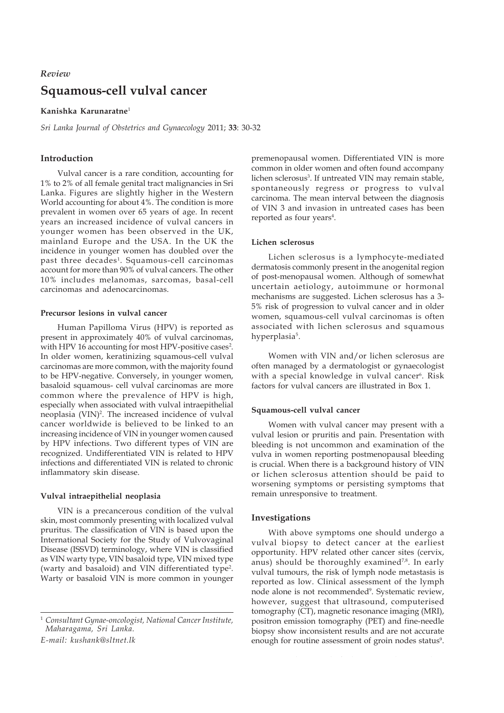# **Squamous-cell vulval cancer** *Review*

**Kanishka Karunaratne**<sup>1</sup>

*Sri Lanka Journal of Obstetrics and Gynaecology* 2011; **33**: 30-32

# **Introduction**

Vulval cancer is a rare condition, accounting for 1% to 2% of all female genital tract malignancies in Sri Lanka. Figures are slightly higher in the Western World accounting for about 4%. The condition is more prevalent in women over 65 years of age. In recent years an increased incidence of vulval cancers in younger women has been observed in the UK, mainland Europe and the USA. In the UK the incidence in younger women has doubled over the past three decades<sup>1</sup>. Squamous-cell carcinomas account for more than 90% of vulval cancers. The other 10% includes melanomas, sarcomas, basal-cell carcinomas and adenocarcinomas.

## **Precursor lesions in vulval cancer**

Human Papilloma Virus (HPV) is reported as present in approximately 40% of vulval carcinomas, with HPV 16 accounting for most HPV-positive cases<sup>2</sup>. In older women, keratinizing squamous-cell vulval carcinomas are more common, with the majority found to be HPV-negative. Conversely, in younger women, basaloid squamous- cell vulval carcinomas are more common where the prevalence of HPV is high, especially when associated with vulval intraepithelial neoplasia (VIN)<sup>2</sup>. The increased incidence of vulval cancer worldwide is believed to be linked to an increasing incidence of VIN in younger women caused by HPV infections. Two different types of VIN are recognized. Undifferentiated VIN is related to HPV infections and differentiated VIN is related to chronic inflammatory skin disease.

# **Vulval intraepithelial neoplasia**

VIN is a precancerous condition of the vulval skin, most commonly presenting with localized vulval pruritus. The classification of VIN is based upon the International Society for the Study of Vulvovaginal Disease (ISSVD) terminology, where VIN is classified as VIN warty type, VIN basaloid type, VIN mixed type (warty and basaloid) and VIN differentiated type<sup>2</sup>. Warty or basaloid VIN is more common in younger

<sup>1</sup> *Consultant Gynae-oncologist, National Cancer Institute, Maharagama, Sri Lanka.*

*E-mail: kushank@sltnet.lk*

premenopausal women. Differentiated VIN is more common in older women and often found accompany lichen sclerosus<sup>3</sup>. If untreated VIN may remain stable, spontaneously regress or progress to vulval carcinoma. The mean interval between the diagnosis of VIN 3 and invasion in untreated cases has been reported as four years<sup>4</sup>.

## **Lichen sclerosus**

Lichen sclerosus is a lymphocyte-mediated dermatosis commonly present in the anogenital region of post-menopausal women. Although of somewhat uncertain aetiology, autoimmune or hormonal mechanisms are suggested. Lichen sclerosus has a 3- 5% risk of progression to vulval cancer and in older women, squamous-cell vulval carcinomas is often associated with lichen sclerosus and squamous hyperplasia<sup>5</sup>.

Women with VIN and/or lichen sclerosus are often managed by a dermatologist or gynaecologist with a special knowledge in vulval cancer<sup>6</sup>. Risk factors for vulval cancers are illustrated in Box 1.

# **Squamous-cell vulval cancer**

Women with vulval cancer may present with a vulval lesion or pruritis and pain. Presentation with bleeding is not uncommon and examination of the vulva in women reporting postmenopausal bleeding is crucial. When there is a background history of VIN or lichen sclerosus attention should be paid to worsening symptoms or persisting symptoms that remain unresponsive to treatment.

# **Investigations**

With above symptoms one should undergo a vulval biopsy to detect cancer at the earliest opportunity. HPV related other cancer sites (cervix, anus) should be thoroughly examined<sup>7,8</sup>. In early vulval tumours, the risk of lymph node metastasis is reported as low. Clinical assessment of the lymph node alone is not recommended<sup>9</sup>. Systematic review, however, suggest that ultrasound, computerised tomography (CT), magnetic resonance imaging (MRI), positron emission tomography (PET) and fine-needle biopsy show inconsistent results and are not accurate enough for routine assessment of groin nodes status<sup>9</sup>.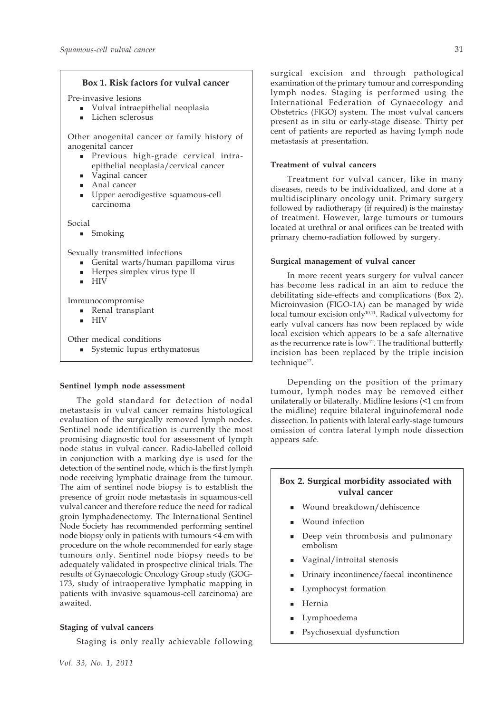## **Box 1. Risk factors for vulval cancer**

Pre-invasive lesions

- Vulval intraepithelial neoplasia
- Lichen sclerosus

Other anogenital cancer or family history of anogenital cancer

- Previous high-grade cervical intraepithelial neoplasia/cervical cancer
- **vaginal cancer**
- **Anal cancer**
- Upper aerodigestive squamous-cell carcinoma

Social

**Smoking** 

Sexually transmitted infections

- Genital warts/human papilloma virus
- Herpes simplex virus type II
- $-HIV$

Immunocompromise

- **Renal transplant**
- $HIV$

Other medical conditions

Systemic lupus erthymatosus

#### **Sentinel lymph node assessment**

The gold standard for detection of nodal metastasis in vulval cancer remains histological evaluation of the surgically removed lymph nodes. Sentinel node identification is currently the most promising diagnostic tool for assessment of lymph node status in vulval cancer. Radio-labelled colloid in conjunction with a marking dye is used for the detection of the sentinel node, which is the first lymph node receiving lymphatic drainage from the tumour. The aim of sentinel node biopsy is to establish the presence of groin node metastasis in squamous-cell vulval cancer and therefore reduce the need for radical groin lymphadenectomy. The International Sentinel Node Society has recommended performing sentinel node biopsy only in patients with tumours <4 cm with procedure on the whole recommended for early stage tumours only. Sentinel node biopsy needs to be adequately validated in prospective clinical trials. The results of Gynaecologic Oncology Group study (GOG-173, study of intraoperative lymphatic mapping in patients with invasive squamous-cell carcinoma) are awaited.

## **Staging of vulval cancers**

Staging is only really achievable following

surgical excision and through pathological examination of the primary tumour and corresponding lymph nodes. Staging is performed using the International Federation of Gynaecology and Obstetrics (FIGO) system. The most vulval cancers present as in situ or early-stage disease. Thirty per cent of patients are reported as having lymph node metastasis at presentation.

# **Treatment of vulval cancers**

Treatment for vulval cancer, like in many diseases, needs to be individualized, and done at a multidisciplinary oncology unit. Primary surgery followed by radiotherapy (if required) is the mainstay of treatment. However, large tumours or tumours located at urethral or anal orifices can be treated with primary chemo-radiation followed by surgery.

## **Surgical management of vulval cancer**

In more recent years surgery for vulval cancer has become less radical in an aim to reduce the debilitating side-effects and complications (Box 2). Microinvasion (FIGO-1A) can be managed by wide local tumour excision only<sup>10,11</sup>. Radical vulvectomy for early vulval cancers has now been replaced by wide local excision which appears to be a safe alternative as the recurrence rate is  $\text{low}^{12}$ . The traditional butterfly incision has been replaced by the triple incision technique<sup>12</sup>.

Depending on the position of the primary tumour, lymph nodes may be removed either unilaterally or bilaterally. Midline lesions (<1 cm from the midline) require bilateral inguinofemoral node dissection. In patients with lateral early-stage tumours omission of contra lateral lymph node dissection appears safe.

# **Box 2. Surgical morbidity associated with vulval cancer**

- Wound breakdown/dehiscence
- Wound infection
- Deep vein thrombosis and pulmonary embolism
- Vaginal/introital stenosis
- Urinary incontinence/faecal incontinence
- Lymphocyst formation
- Hernia
- Lymphoedema
- Psychosexual dysfunction